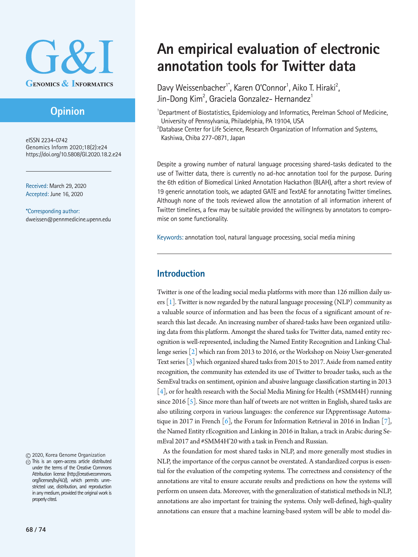

# **Opinion**

eISSN 2234-0742 Genomics Inform 2020;18(2):e24 https://doi.org/10.5808/GI.2020.18.2.e24

Received: March 29, 2020 Accepted: June 16, 2020

\*Corresponding author: dweissen@pennmedicine.upenn.edu

2020, Korea Genome Organization

This is an open-access article distributed under the terms of the Creative Commons Attribution license (http://creativecommons. org/licenses/by/4.0/), which permits unrestricted use, distribution, and reproduction in any medium, provided the original work is properly cited.

# **An empirical evaluation of electronic annotation tools for Twitter data**

Davy Weissenbacher<sup>1\*</sup>, Karen O'Connor<sup>1</sup>, Aiko T. Hiraki<sup>2</sup>, Jin-Dong Kim<sup>2</sup>, Graciela Gonzalez- Hernandez<sup>1</sup>

<sup>1</sup>Department of Biostatistics, Epidemiology and Informatics, Perelman School of Medicine, University of Pennsylvania, Philadelphia, PA 19104, USA

<sup>2</sup>Database Center for Life Science, Research Organization of Information and Systems, Kashiwa, Chiba 277-0871, Japan

Despite a growing number of natural language processing shared-tasks dedicated to the use of Twitter data, there is currently no ad-hoc annotation tool for the purpose. During the 6th edition of Biomedical Linked Annotation Hackathon (BLAH), after a short review of 19 generic annotation tools, we adapted GATE and TextAE for annotating Twitter timelines. Although none of the tools reviewed allow the annotation of all information inherent of Twitter timelines, a few may be suitable provided the willingness by annotators to compromise on some functionality.

Keywords: annotation tool, natural language processing, social media mining

#### **Introduction**

Twitter is one of the leading social media platforms with more than 126 million daily users  $[1]$ . Twitter is now regarded by the natural language processing (NLP) community as a valuable source of information and has been the focus of a significant amount of research this last decade. An increasing number of shared-tasks have been organized utilizing data from this platform. Amongst the shared tasks for Twitter data, named entity recognition is well-represented, including the Named Entity Recognition and Linking Challenge series [\[2\]](#page-4-1) which ran from 2013 to 2016, or the Workshop on Noisy User-generated Text series [\[3\]](#page-4-2) which organized shared tasks from 2015 to 2017. Aside from named entity recognition, the community has extended its use of Twitter to broader tasks, such as the SemEval tracks on sentiment, opinion and abusive language classification starting in 2013 [\[4\]](#page-4-3), or for health research with the Social Media Mining for Health (#SMM4H) running since 2016  $\lceil 5 \rceil$ . Since more than half of tweets are not written in English, shared tasks are also utilizing corpora in various languages: the conference sur l'Apprentissage Automatique in 2017 in French  $[6]$ , the Forum for Information Retrieval in 2016 in Indian  $[7]$  $[7]$ , the Named Entity rEcognition and Linking in 2016 in Italian, a track in Arabic during SemEval 2017 and #SMM4H'20 with a task in French and Russian.

As the foundation for most shared tasks in NLP, and more generally most studies in NLP, the importance of the corpus cannot be overstated. A standardized corpus is essential for the evaluation of the competing systems. The correctness and consistency of the annotations are vital to ensure accurate results and predictions on how the systems will perform on unseen data. Moreover, with the generalization of statistical methods in NLP, annotations are also important for training the systems. Only well-defined, high-quality annotations can ensure that a machine learning-based system will be able to model dis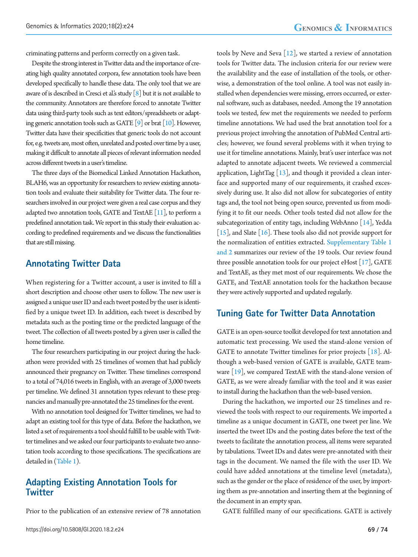criminating patterns and perform correctly on a given task.

Despite the strong interest in Twitter data and the importance of creating high quality annotated corpora, few annotation tools have been developed specifically to handle these data. The only tool that we are aware of is described in Cresci et al.'s study  $\lceil 8 \rceil$  but it is not available to the community. Annotators are therefore forced to annotate Twitter data using third-party tools such as text editors/spreadsheets or adapting generic annotation tools such as GATE  $[9]$  $[9]$  or brat  $[10]$  $[10]$ . However, Twitter data have their specificities that generic tools do not account for, e.g. tweets are, most often, unrelated and posted over time by a user, making it difficult to annotate all pieces of relevant information needed across different tweets in a user's timeline.

The three days of the Biomedical Linked Annotation Hackathon, BLAH6, was an opportunity for researchers to review existing annotation tools and evaluate their suitability for Twitter data. The four researchers involved in our project were given a real case corpus and they adapted two annotation tools, GATE and TextAE  $[11]$ , to perform a predefined annotation task. We report in this study their evaluation according to predefined requirements and we discuss the functionalities that are still missing.

#### **Annotating Twitter Data**

When registering for a Twitter account, a user is invited to fill a short description and choose other users to follow. The new user is assigned a unique user ID and each tweet posted by the user is identified by a unique tweet ID. In addition, each tweet is described by metadata such as the posting time or the predicted language of the tweet. The collection of all tweets posted by a given user is called the home timeline.

The four researchers participating in our project during the hackathon were provided with 25 timelines of women that had publicly announced their pregnancy on Twitter. These timelines correspond to a total of 74,016 tweets in English, with an average of 3,000 tweets per timeline. We defined 31 annotation types relevant to these pregnancies and manually pre-annotated the 25 timelines for the event.

With no annotation tool designed for Twitter timelines, we had to adapt an existing tool for this type of data. Before the hackathon, we listed a set of requirements a tool should fulfill to be usable with Twitter timelines and we asked our four participants to evaluate two annotation tools according to those specifications. The specifications are detailed in [\(Table 1\)](#page-2-0).

#### **Adapting Existing Annotation Tools for Twitter**

Prior to the publication of an extensive review of 78 annotation

tools by Neve and Seva  $[12]$ , we started a review of annotation tools for Twitter data. The inclusion criteria for our review were the availability and the ease of installation of the tools, or otherwise, a demonstration of the tool online. A tool was not easily installed when dependencies were missing, errors occurred, or external software, such as databases, needed. Among the 19 annotation tools we tested, few met the requirements we needed to perform timeline annotations. We had used the brat annotation tool for a previous project involving the annotation of PubMed Central articles; however, we found several problems with it when trying to use it for timeline annotations. Mainly, brat's user interface was not adapted to annotate adjacent tweets. We reviewed a commercial application, LightTag  $[13]$  $[13]$ , and though it provided a clean interface and supported many of our requirements, it crashed excessively during use. It also did not allow for subcategories of entity tags and, the tool not being open source, prevented us from modifying it to fit our needs. Other tools tested did not allow for the subcategorization of entity tags, including WebAnno  $[14]$  $[14]$ , Yedda [\[15\]](#page-4-13), and Slate [[16](#page-4-14)]. These tools also did not provide support for the normalization of entities extracted. [Supplementary Table 1](#page--1-0) [and 2](#page--1-0) summarizes our review of the 19 tools. Our review found three possible annotation tools for our project eHost  $[17]$ , GATE and TextAE, as they met most of our requirements. We chose the GATE, and TextAE annotation tools for the hackathon because they were actively supported and updated regularly.

#### **Tuning Gate for Twitter Data Annotation**

GATE is an open-source toolkit developed for text annotation and automatic text processing. We used the stand-alone version of GATE to annotate Twitter timelines for prior projects  $[18]$  $[18]$ . Although a web-based version of GATE is available, GATE teamware  $[19]$  $[19]$  $[19]$ , we compared TextAE with the stand-alone version of GATE, as we were already familiar with the tool and it was easier to install during the hackathon than the web-based version.

During the hackathon, we imported our 25 timelines and reviewed the tools with respect to our requirements. We imported a timeline as a unique document in GATE, one tweet per line. We inserted the tweet IDs and the posting dates before the text of the tweets to facilitate the annotation process, all items were separated by tabulations. Tweet IDs and dates were pre-annotated with their tags in the document. We named the file with the user ID. We could have added annotations at the timeline level (metadata), such as the gender or the place of residence of the user, by importing them as pre-annotation and inserting them at the beginning of the document in an empty span.

GATE fulfilled many of our specifications. GATE is actively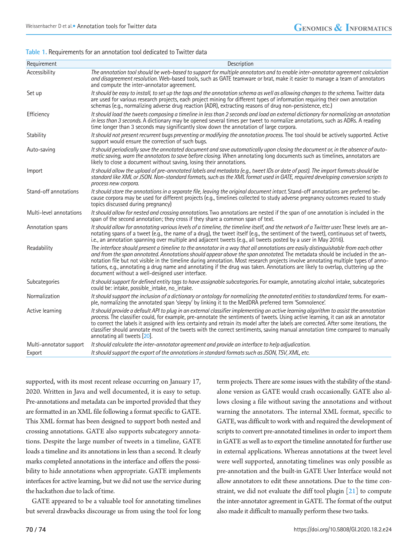#### <span id="page-2-0"></span>**Table 1.** Requirements for an annotation tool dedicated to Twitter data

| Requirement             | Description                                                                                                                                                                                                                                                                                                                                                                                                                                                                                                                                                                                    |
|-------------------------|------------------------------------------------------------------------------------------------------------------------------------------------------------------------------------------------------------------------------------------------------------------------------------------------------------------------------------------------------------------------------------------------------------------------------------------------------------------------------------------------------------------------------------------------------------------------------------------------|
| Accessibility           | The annotation tool should be web-based to support for multiple annotators and to enable inter-annotator agreement calculation<br>and disagreement resolution. Web-based tools, such as GATE teamware or brat, make it easier to manage a team of annotators<br>and compute the inter-annotator agreement.                                                                                                                                                                                                                                                                                     |
| Set up                  | It should be easy to install, to set up the tags and the annotation schema as well as allowing changes to the schema. Twitter data<br>are used for various research projects, each project mining for different types of information requiring their own annotation<br>schemas (e.g., normalizing adverse drug reaction (ADR), extracting reasons of drug non-persistence, etc.)                                                                                                                                                                                                               |
| Efficiency              | It should load the tweets composing a timeline in less than 2 seconds and load an external dictionary for normalizing an annotation<br>in less than 3 seconds. A dictionary may be opened several times per tweet to normalize annotations, such as ADRs. A reading<br>time longer than 3 seconds may significantly slow down the annotation of large corpora.                                                                                                                                                                                                                                 |
| Stability               | It should not present recurrent bugs preventing or modifying the annotation process. The tool should be actively supported. Active<br>support would ensure the correction of such bugs.                                                                                                                                                                                                                                                                                                                                                                                                        |
| Auto-saving             | It should periodically save the annotated document and save automatically upon closing the document or, in the absence of auto-<br>matic saving, warn the annotators to save before closing. When annotating long documents such as timelines, annotators are<br>likely to close a document without saving, losing their annotations.                                                                                                                                                                                                                                                          |
| Import                  | It should allow the upload of pre-annotated labels and metadata (e.g., tweet IDs or date of post). The import formats should be<br>standard like XML or JSON. Non-standard formats, such as the XML format used in GATE, required developing conversion scripts to<br>process new corpora.                                                                                                                                                                                                                                                                                                     |
| Stand-off annotations   | It should store the annotations in a separate file, leaving the original document intact. Stand-off annotations are preferred be-<br>cause corpora may be used for different projects (e.g., timelines collected to study adverse pregnancy outcomes reused to study<br>topics discussed during pregnancy                                                                                                                                                                                                                                                                                      |
| Multi-level annotations | It should allow for nested and crossing annotations. Two annotations are nested if the span of one annotation is included in the<br>span of the second annotation; they cross if they share a common span of text.                                                                                                                                                                                                                                                                                                                                                                             |
| Annotation spans        | It should allow for annotating various levels of a timeline, the timeline itself, and the network of a Twitter user. These levels are an-<br>notating spans of a tweet (e.g., the name of a drug), the tweet itself (e.g., the sentiment of the tweet), continuous set of tweets,<br>i.e., an annotation spanning over multiple and adjacent tweets (e.g., all tweets posted by a user in May 2016).                                                                                                                                                                                           |
| Readability             | The interface should present a timeline to the annotator in a way that all annotations are easily distinguishable from each other<br>and from the span annotated. Annotations should appear above the span annotated. The metadata should be included in the an-<br>notation file but not visible in the timeline during annotation. Most research projects involve annotating multiple types of anno-<br>tations, e.g., annotating a drug name and annotating if the drug was taken. Annotations are likely to overlap, cluttering up the<br>document without a well-designed user interface. |
| Subcategories           | It should support for defined entity tags to have assignable subcategories. For example, annotating alcohol intake, subcategories<br>could be: intake, possible_intake, no_intake.                                                                                                                                                                                                                                                                                                                                                                                                             |
| Normalization           | It should support the inclusion of a dictionary or ontology for normalizing the annotated entities to standardized terms. For exam-<br>ple, normalizing the annotated span 'sleepy' by linking it to the MedDRA preferred term 'Somnolence'.                                                                                                                                                                                                                                                                                                                                                   |
| Active learning         | It should provide a default API to plug in an external classifier implementing an active learning algorithm to assist the annotation<br>process. The classifier could, for example, pre-annotate the sentiments of tweets. Using active learning, it can ask an annotator<br>to correct the labels it assigned with less certainty and retrain its model after the labels are corrected. After some iterations, the<br>classifier should annotate most of the tweets with the correct sentiments, saving manual annotation time compared to manually<br>annotating all tweets [20].            |
| Multi-annotator support | It should calculate the inter-annotator agreement and provide an interface to help adjudication.                                                                                                                                                                                                                                                                                                                                                                                                                                                                                               |
| Export                  | It should support the export of the annotations in standard formats such as JSON, TSV, XML, etc.                                                                                                                                                                                                                                                                                                                                                                                                                                                                                               |

supported, with its most recent release occurring on January 17, 2020. Written in Java and well documented, it is easy to setup. Pre-annotations and metadata can be imported provided that they are formatted in an XML file following a format specific to GATE. This XML format has been designed to support both nested and crossing annotations. GATE also supports subcategory annotations. Despite the large number of tweets in a timeline, GATE loads a timeline and its annotations in less than a second. It clearly marks completed annotations in the interface and offers the possibility to hide annotations when appropriate. GATE implements interfaces for active learning, but we did not use the service during the hackathon due to lack of time.

GATE appeared to be a valuable tool for annotating timelines but several drawbacks discourage us from using the tool for long

term projects. There are some issues with the stability of the standalone version as GATE would crash occasionally. GATE also allows closing a file without saving the annotations and without warning the annotators. The internal XML format, specific to GATE, was difficult to work with and required the development of scripts to convert pre-annotated timelines in order to import them in GATE as well as to export the timeline annotated for further use in external applications. Whereas annotations at the tweet level were well supported, annotating timelines was only possible as pre-annotation and the built-in GATE User Interface would not allow annotators to edit these annotations. Due to the time constraint, we did not evaluate the diff tool plugin  $\lceil 21 \rceil$  to compute the inter-annotator agreement in GATE. The format of the output also made it difficult to manually perform these two tasks.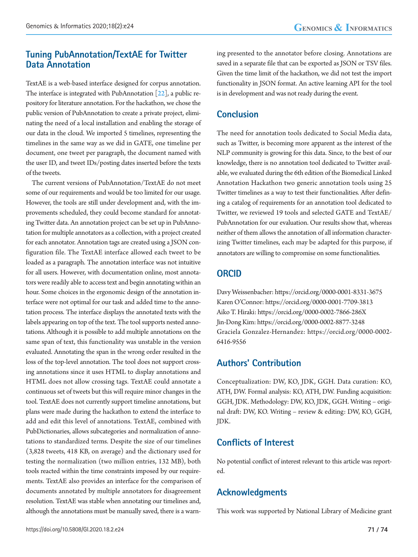#### **Tuning PubAnnotation/TextAE for Twitter Data Annotation**

TextAE is a web-based interface designed for corpus annotation. The interface is integrated with PubAnnotation  $[22]$ , a public repository for literature annotation. For the hackathon, we chose the public version of PubAnnotation to create a private project, eliminating the need of a local installation and enabling the storage of our data in the cloud. We imported 5 timelines, representing the timelines in the same way as we did in GATE, one timeline per document, one tweet per paragraph, the document named with the user ID, and tweet IDs/posting dates inserted before the texts of the tweets.

The current versions of PubAnnotation/TextAE do not meet some of our requirements and would be too limited for our usage. However, the tools are still under development and, with the improvements scheduled, they could become standard for annotating Twitter data. An annotation project can be set up in PubAnnotation for multiple annotators as a collection, with a project created for each annotator. Annotation tags are created using a JSON configuration file. The TextAE interface allowed each tweet to be loaded as a paragraph. The annotation interface was not intuitive for all users. However, with documentation online, most annotators were readily able to access text and begin annotating within an hour. Some choices in the ergonomic design of the annotation interface were not optimal for our task and added time to the annotation process. The interface displays the annotated texts with the labels appearing on top of the text. The tool supports nested annotations. Although it is possible to add multiple annotations on the same span of text, this functionality was unstable in the version evaluated. Annotating the span in the wrong order resulted in the loss of the top-level annotation. The tool does not support crossing annotations since it uses HTML to display annotations and HTML does not allow crossing tags. TextAE could annotate a continuous set of tweets but this will require minor changes in the tool. TextAE does not currently support timeline annotations, but plans were made during the hackathon to extend the interface to add and edit this level of annotations. TextAE, combined with PubDictionaries, allows subcategories and normalization of annotations to standardized terms. Despite the size of our timelines (3,828 tweets, 418 KB, on average) and the dictionary used for testing the normalization (two million entries, 132 MB), both tools reacted within the time constraints imposed by our requirements. TextAE also provides an interface for the comparison of documents annotated by multiple annotators for disagreement resolution. TextAE was stable when annotating our timelines and, although the annotations must be manually saved, there is a warn-

ing presented to the annotator before closing. Annotations are saved in a separate file that can be exported as JSON or TSV files. Given the time limit of the hackathon, we did not test the import functionality in JSON format. An active learning API for the tool is in development and was not ready during the event.

## **Conclusion**

The need for annotation tools dedicated to Social Media data, such as Twitter, is becoming more apparent as the interest of the NLP community is growing for this data. Since, to the best of our knowledge, there is no annotation tool dedicated to Twitter available, we evaluated during the 6th edition of the Biomedical Linked Annotation Hackathon two generic annotation tools using 25 Twitter timelines as a way to test their functionalities. After defining a catalog of requirements for an annotation tool dedicated to Twitter, we reviewed 19 tools and selected GATE and TextAE/ PubAnnotation for our evaluation. Our results show that, whereas neither of them allows the annotation of all information characterizing Twitter timelines, each may be adapted for this purpose, if annotators are willing to compromise on some functionalities.

### **ORCID**

Davy Weissenbacher: https://orcid.org/0000-0001-8331-3675 Karen O'Connor: https://orcid.org/0000-0001-7709-3813 Aiko T. Hiraki: https://orcid.org/0000-0002-7866-286X Jin-Dong Kim: https://orcid.org/0000-0002-8877-3248 Graciela Gonzalez-Hernandez: https://orcid.org/0000-0002- 6416-9556

# **Authors' Contribution**

Conceptualization: DW, KO, JDK, GGH. Data curation: KO, ATH, DW. Formal analysis: KO, ATH, DW. Funding acquisition: GGH, JDK. Methodology: DW, KO, JDK, GGH. Writing – original draft: DW, KO. Writing – review & editing: DW, KO, GGH, JDK.

# **Conflicts of Interest**

No potential conflict of interest relevant to this article was reported.

# **Acknowledgments**

This work was supported by National Library of Medicine grant